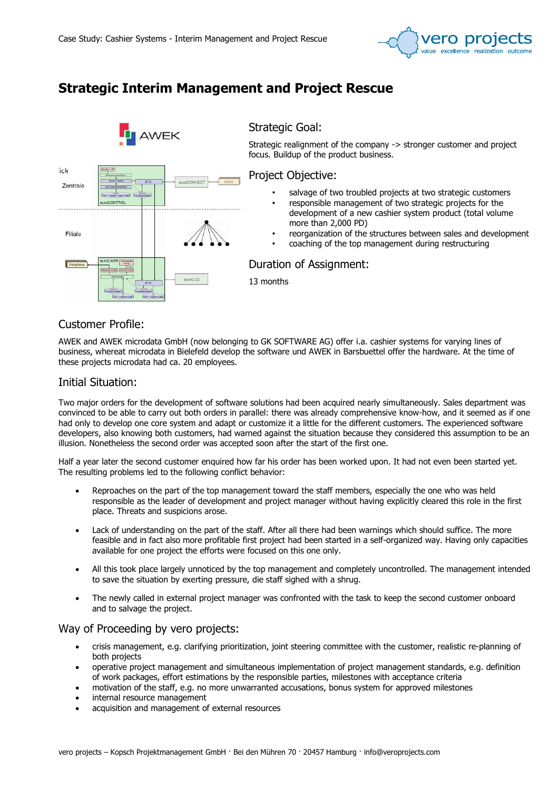

# Strategic Interim Management and Project Rescue



## Customer Profile:

AWEK and AWEK microdata GmbH (now belonging to GK SOFTWARE AG) offer i.a. cashier systems for varying lines of business, whereat microdata in Bielefeld develop the software und AWEK in Barsbuettel offer the hardware. At the time of these projects microdata had ca. 20 employees.

### Initial Situation:

Two major orders for the development of software solutions had been acquired nearly simultaneously. Sales department was convinced to be able to carry out both orders in parallel: there was already comprehensive know-how, and it seemed as if one had only to develop one core system and adapt or customize it a little for the different customers. The experienced software developers, also knowing both customers, had warned against the situation because they considered this assumption to be an illusion. Nonetheless the second order was accepted soon after the start of the first one.

Half a year later the second customer enquired how far his order has been worked upon. It had not even been started yet. The resulting problems led to the following conflict behavior:

- Reproaches on the part of the top management toward the staff members, especially the one who was held responsible as the leader of development and project manager without having explicitly cleared this role in the first place. Threats and suspicions arose.
- Lack of understanding on the part of the staff. After all there had been warnings which should suffice. The more feasible and in fact also more profitable first project had been started in a self-organized way. Having only capacities available for one project the efforts were focused on this one only.
- All this took place largely unnoticed by the top management and completely uncontrolled. The management intended to save the situation by exerting pressure, die staff sighed with a shrug.
- The newly called in external project manager was confronted with the task to keep the second customer onboard and to salvage the project.

### Way of Proceeding by vero projects:

- crisis management, e.g. clarifying prioritization, joint steering committee with the customer, realistic re-planning of both projects
- operative project management and simultaneous implementation of project management standards, e.g. definition of work packages, effort estimations by the responsible parties, milestones with acceptance criteria
- motivation of the staff, e.g. no more unwarranted accusations, bonus system for approved milestones
- internal resource management
- acquisition and management of external resources